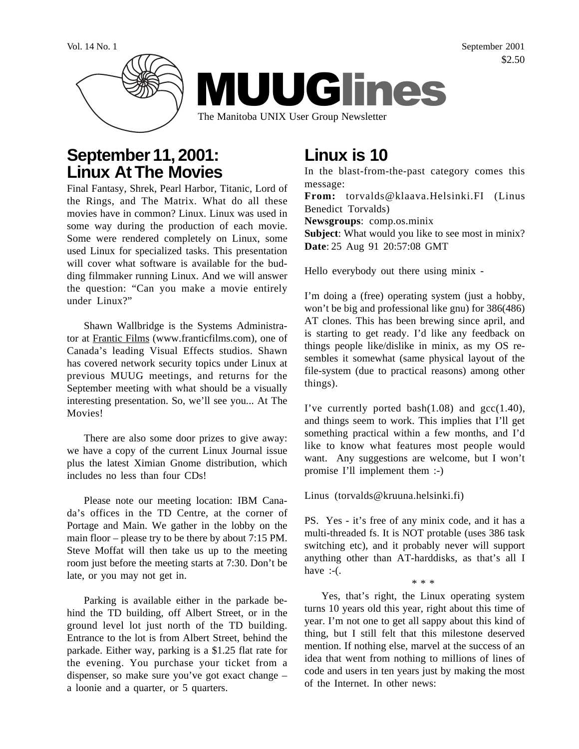

## **September 11, 2001: Linux At The Movies**

Final Fantasy, Shrek, Pearl Harbor, Titanic, Lord of the Rings, and The Matrix. What do all these movies have in common? Linux. Linux was used in some way during the production of each movie. Some were rendered completely on Linux, some used Linux for specialized tasks. This presentation will cover what software is available for the budding filmmaker running Linux. And we will answer the question: "Can you make a movie entirely under Linux?"

Shawn Wallbridge is the Systems Administrator at Frantic Films (www.franticfilms.com), one of Canada's leading Visual Effects studios. Shawn has covered network security topics under Linux at previous MUUG meetings, and returns for the September meeting with what should be a visually interesting presentation. So, we'll see you... At The Movies!

There are also some door prizes to give away: we have a copy of the current Linux Journal issue plus the latest Ximian Gnome distribution, which includes no less than four CDs!

Please note our meeting location: IBM Canada's offices in the TD Centre, at the corner of Portage and Main. We gather in the lobby on the main floor – please try to be there by about 7:15 PM. Steve Moffat will then take us up to the meeting room just before the meeting starts at 7:30. Don't be late, or you may not get in.

Parking is available either in the parkade behind the TD building, off Albert Street, or in the ground level lot just north of the TD building. Entrance to the lot is from Albert Street, behind the parkade. Either way, parking is a \$1.25 flat rate for the evening. You purchase your ticket from a dispenser, so make sure you've got exact change – a loonie and a quarter, or 5 quarters.

# **Linux is 10**

In the blast-from-the-past category comes this message: **From:** torvalds@klaava.Helsinki.FI (Linus Benedict Torvalds) **Newsgroups**: comp.os.minix **Subject**: What would you like to see most in minix? **Date**: 25 Aug 91 20:57:08 GMT

Hello everybody out there using minix -

I'm doing a (free) operating system (just a hobby, won't be big and professional like gnu) for 386(486) AT clones. This has been brewing since april, and is starting to get ready. I'd like any feedback on things people like/dislike in minix, as my OS resembles it somewhat (same physical layout of the file-system (due to practical reasons) among other things).

I've currently ported bash $(1.08)$  and gcc $(1.40)$ , and things seem to work. This implies that I'll get something practical within a few months, and I'd like to know what features most people would want. Any suggestions are welcome, but I won't promise I'll implement them :-)

Linus (torvalds@kruuna.helsinki.fi)

PS. Yes - it's free of any minix code, and it has a multi-threaded fs. It is NOT protable (uses 386 task switching etc), and it probably never will support anything other than AT-harddisks, as that's all I have  $:-($ .

\* \* \*

Yes, that's right, the Linux operating system turns 10 years old this year, right about this time of year. I'm not one to get all sappy about this kind of thing, but I still felt that this milestone deserved mention. If nothing else, marvel at the success of an idea that went from nothing to millions of lines of code and users in ten years just by making the most of the Internet. In other news:

Vol. 14 No. 1 September 2001 \$2.50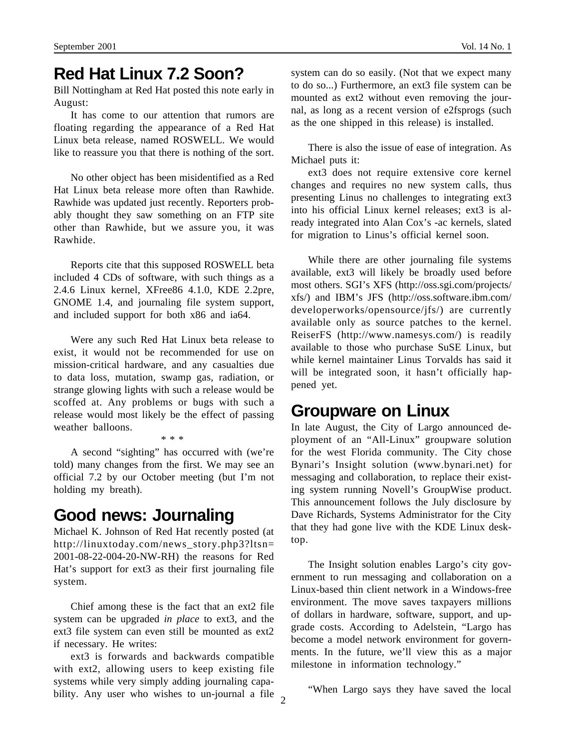## **Red Hat Linux 7.2 Soon?**

Bill Nottingham at Red Hat posted this note early in August:

It has come to our attention that rumors are floating regarding the appearance of a Red Hat Linux beta release, named ROSWELL. We would like to reassure you that there is nothing of the sort.

No other object has been misidentified as a Red Hat Linux beta release more often than Rawhide. Rawhide was updated just recently. Reporters probably thought they saw something on an FTP site other than Rawhide, but we assure you, it was Rawhide.

Reports cite that this supposed ROSWELL beta included 4 CDs of software, with such things as a 2.4.6 Linux kernel, XFree86 4.1.0, KDE 2.2pre, GNOME 1.4, and journaling file system support, and included support for both x86 and ia64.

Were any such Red Hat Linux beta release to exist, it would not be recommended for use on mission-critical hardware, and any casualties due to data loss, mutation, swamp gas, radiation, or strange glowing lights with such a release would be scoffed at. Any problems or bugs with such a release would most likely be the effect of passing weather balloons. \* \* \*

A second "sighting" has occurred with (we're told) many changes from the first. We may see an official 7.2 by our October meeting (but I'm not holding my breath).

#### **Good news: Journaling**

Michael K. Johnson of Red Hat recently posted (at http://linuxtoday.com/news\_story.php3?ltsn= 2001-08-22-004-20-NW-RH) the reasons for Red Hat's support for ext3 as their first journaling file system.

Chief among these is the fact that an ext2 file system can be upgraded *in place* to ext3, and the ext3 file system can even still be mounted as ext2 if necessary. He writes:

bility. Any user who wishes to un-journal a file  $\frac{1}{2}$ ext3 is forwards and backwards compatible with ext2, allowing users to keep existing file systems while very simply adding journaling capasystem can do so easily. (Not that we expect many to do so...) Furthermore, an ext3 file system can be mounted as ext2 without even removing the journal, as long as a recent version of e2fsprogs (such as the one shipped in this release) is installed.

There is also the issue of ease of integration. As Michael puts it:

ext3 does not require extensive core kernel changes and requires no new system calls, thus presenting Linus no challenges to integrating ext3 into his official Linux kernel releases; ext3 is already integrated into Alan Cox's -ac kernels, slated for migration to Linus's official kernel soon.

While there are other journaling file systems available, ext3 will likely be broadly used before most others. SGI's XFS (http://oss.sgi.com/projects/ xfs/) and IBM's JFS (http://oss.software.ibm.com/ developerworks/opensource/jfs/) are currently available only as source patches to the kernel. ReiserFS (http://www.namesys.com/) is readily available to those who purchase SuSE Linux, but while kernel maintainer Linus Torvalds has said it will be integrated soon, it hasn't officially happened yet.

#### **Groupware on Linux**

In late August, the City of Largo announced deployment of an "All-Linux" groupware solution for the west Florida community. The City chose Bynari's Insight solution (www.bynari.net) for messaging and collaboration, to replace their existing system running Novell's GroupWise product. This announcement follows the July disclosure by Dave Richards, Systems Administrator for the City that they had gone live with the KDE Linux desktop.

The Insight solution enables Largo's city government to run messaging and collaboration on a Linux-based thin client network in a Windows-free environment. The move saves taxpayers millions of dollars in hardware, software, support, and upgrade costs. According to Adelstein, "Largo has become a model network environment for governments. In the future, we'll view this as a major milestone in information technology."

"When Largo says they have saved the local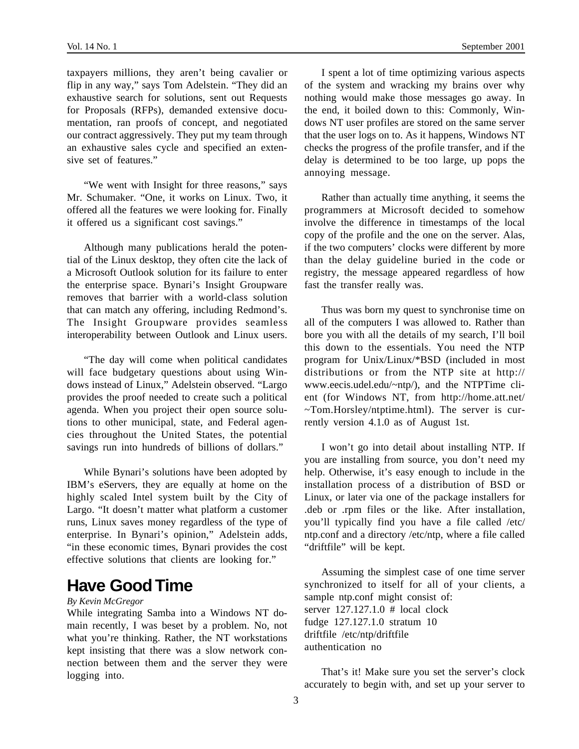taxpayers millions, they aren't being cavalier or flip in any way," says Tom Adelstein. "They did an exhaustive search for solutions, sent out Requests for Proposals (RFPs), demanded extensive documentation, ran proofs of concept, and negotiated our contract aggressively. They put my team through an exhaustive sales cycle and specified an extensive set of features."

"We went with Insight for three reasons," says Mr. Schumaker. "One, it works on Linux. Two, it offered all the features we were looking for. Finally it offered us a significant cost savings."

Although many publications herald the potential of the Linux desktop, they often cite the lack of a Microsoft Outlook solution for its failure to enter the enterprise space. Bynari's Insight Groupware removes that barrier with a world-class solution that can match any offering, including Redmond's. The Insight Groupware provides seamless interoperability between Outlook and Linux users.

"The day will come when political candidates will face budgetary questions about using Windows instead of Linux," Adelstein observed. "Largo provides the proof needed to create such a political agenda. When you project their open source solutions to other municipal, state, and Federal agencies throughout the United States, the potential savings run into hundreds of billions of dollars."

While Bynari's solutions have been adopted by IBM's eServers, they are equally at home on the highly scaled Intel system built by the City of Largo. "It doesn't matter what platform a customer runs, Linux saves money regardless of the type of enterprise. In Bynari's opinion," Adelstein adds, "in these economic times, Bynari provides the cost effective solutions that clients are looking for."

## **Have Good Time**

#### *By Kevin McGregor*

While integrating Samba into a Windows NT domain recently, I was beset by a problem. No, not what you're thinking. Rather, the NT workstations kept insisting that there was a slow network connection between them and the server they were logging into.

I spent a lot of time optimizing various aspects of the system and wracking my brains over why nothing would make those messages go away. In the end, it boiled down to this: Commonly, Windows NT user profiles are stored on the same server that the user logs on to. As it happens, Windows NT checks the progress of the profile transfer, and if the delay is determined to be too large, up pops the annoying message.

Rather than actually time anything, it seems the programmers at Microsoft decided to somehow involve the difference in timestamps of the local copy of the profile and the one on the server. Alas, if the two computers' clocks were different by more than the delay guideline buried in the code or registry, the message appeared regardless of how fast the transfer really was.

Thus was born my quest to synchronise time on all of the computers I was allowed to. Rather than bore you with all the details of my search, I'll boil this down to the essentials. You need the NTP program for Unix/Linux/\*BSD (included in most distributions or from the NTP site at http:// www.eecis.udel.edu/~ntp/), and the NTPTime client (for Windows NT, from http://home.att.net/ ~Tom.Horsley/ntptime.html). The server is currently version 4.1.0 as of August 1st.

I won't go into detail about installing NTP. If you are installing from source, you don't need my help. Otherwise, it's easy enough to include in the installation process of a distribution of BSD or Linux, or later via one of the package installers for .deb or .rpm files or the like. After installation, you'll typically find you have a file called /etc/ ntp.conf and a directory /etc/ntp, where a file called "driftfile" will be kept.

Assuming the simplest case of one time server synchronized to itself for all of your clients, a sample ntp.conf might consist of: server 127.127.1.0 # local clock fudge 127.127.1.0 stratum 10 driftfile /etc/ntp/driftfile authentication no

That's it! Make sure you set the server's clock accurately to begin with, and set up your server to